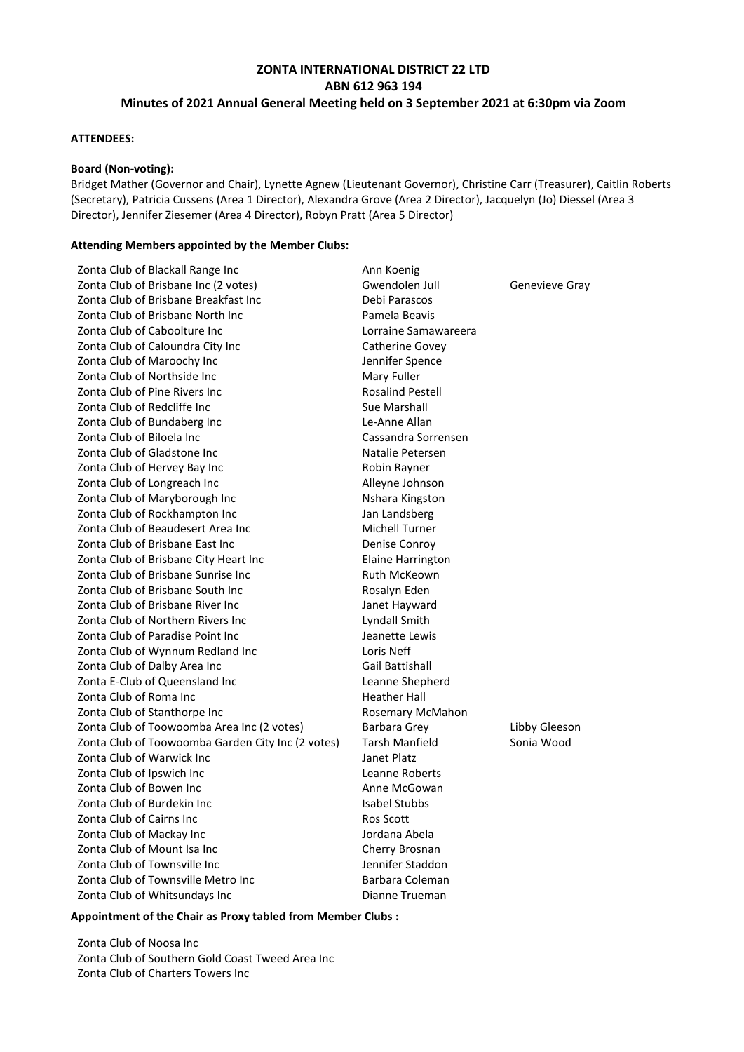## **ZONTA INTERNATIONAL DISTRICT 22 LTD ABN 612 963 194 Minutes of 2021 Annual General Meeting held on 3 September 2021 at 6:30pm via Zoom**

#### **ATTENDEES:**

#### **Board (Non-voting):**

Bridget Mather (Governor and Chair), Lynette Agnew (Lieutenant Governor), Christine Carr (Treasurer), Caitlin Roberts (Secretary), Patricia Cussens (Area 1 Director), Alexandra Grove (Area 2 Director), Jacquelyn (Jo) Diessel (Area 3 Director), Jennifer Ziesemer (Area 4 Director), Robyn Pratt (Area 5 Director)

#### **Attending Members appointed by the Member Clubs:**

| Zonta Club of Blackall Range Inc                  | Ann Koenig              |                |
|---------------------------------------------------|-------------------------|----------------|
| Zonta Club of Brisbane Inc (2 votes)              | Gwendolen Jull          | Genevieve Gray |
| Zonta Club of Brisbane Breakfast Inc              | Debi Parascos           |                |
| Zonta Club of Brisbane North Inc                  | Pamela Beavis           |                |
| Zonta Club of Caboolture Inc                      | Lorraine Samawareera    |                |
| Zonta Club of Caloundra City Inc                  | Catherine Govey         |                |
| Zonta Club of Maroochy Inc                        | Jennifer Spence         |                |
| Zonta Club of Northside Inc                       | Mary Fuller             |                |
| Zonta Club of Pine Rivers Inc                     | <b>Rosalind Pestell</b> |                |
| Zonta Club of Redcliffe Inc                       | Sue Marshall            |                |
| Zonta Club of Bundaberg Inc                       | Le-Anne Allan           |                |
| Zonta Club of Biloela Inc                         | Cassandra Sorrensen     |                |
| Zonta Club of Gladstone Inc                       | Natalie Petersen        |                |
| Zonta Club of Hervey Bay Inc                      | Robin Rayner            |                |
| Zonta Club of Longreach Inc                       | Alleyne Johnson         |                |
| Zonta Club of Maryborough Inc                     | Nshara Kingston         |                |
| Zonta Club of Rockhampton Inc                     | Jan Landsberg           |                |
| Zonta Club of Beaudesert Area Inc                 | <b>Michell Turner</b>   |                |
| Zonta Club of Brisbane East Inc                   | Denise Conroy           |                |
| Zonta Club of Brisbane City Heart Inc             | Elaine Harrington       |                |
| Zonta Club of Brisbane Sunrise Inc                | Ruth McKeown            |                |
| Zonta Club of Brisbane South Inc                  | Rosalyn Eden            |                |
| Zonta Club of Brisbane River Inc                  | Janet Hayward           |                |
| Zonta Club of Northern Rivers Inc                 | Lyndall Smith           |                |
| Zonta Club of Paradise Point Inc                  | Jeanette Lewis          |                |
| Zonta Club of Wynnum Redland Inc                  | Loris Neff              |                |
| Zonta Club of Dalby Area Inc                      | Gail Battishall         |                |
| Zonta E-Club of Queensland Inc                    | Leanne Shepherd         |                |
| Zonta Club of Roma Inc                            | <b>Heather Hall</b>     |                |
| Zonta Club of Stanthorpe Inc                      | Rosemary McMahon        |                |
| Zonta Club of Toowoomba Area Inc (2 votes)        | Barbara Grey            | Libby Gleeson  |
| Zonta Club of Toowoomba Garden City Inc (2 votes) | Tarsh Manfield          | Sonia Wood     |
| Zonta Club of Warwick Inc                         | Janet Platz             |                |
| Zonta Club of Ipswich Inc                         | Leanne Roberts          |                |
| Zonta Club of Bowen Inc                           | Anne McGowan            |                |
| Zonta Club of Burdekin Inc                        | <b>Isabel Stubbs</b>    |                |
| Zonta Club of Cairns Inc                          | <b>Ros Scott</b>        |                |
| Zonta Club of Mackay Inc                          | Jordana Abela           |                |
| Zonta Club of Mount Isa Inc                       | Cherry Brosnan          |                |
| Zonta Club of Townsville Inc                      | Jennifer Staddon        |                |
| Zonta Club of Townsville Metro Inc                | Barbara Coleman         |                |
| Zonta Club of Whitsundays Inc                     | Dianne Trueman          |                |
|                                                   |                         |                |

## **Appointment of the Chair as Proxy tabled from Member Clubs :**

Zonta Club of Noosa Inc Zonta Club of Southern Gold Coast Tweed Area Inc Zonta Club of Charters Towers Inc